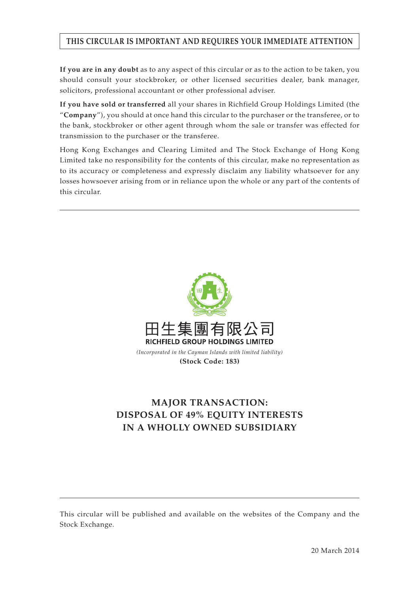# **THIS CIRCULAR IS IMPORTANT AND REQUIRES YOUR IMMEDIATE ATTENTION**

**If you are in any doubt** as to any aspect of this circular or as to the action to be taken, you should consult your stockbroker, or other licensed securities dealer, bank manager, solicitors, professional accountant or other professional adviser.

**If you have sold or transferred** all your shares in Richfield Group Holdings Limited (the "**Company**"), you should at once hand this circular to the purchaser or the transferee, or to the bank, stockbroker or other agent through whom the sale or transfer was effected for transmission to the purchaser or the transferee.

Hong Kong Exchanges and Clearing Limited and The Stock Exchange of Hong Kong Limited take no responsibility for the contents of this circular, make no representation as to its accuracy or completeness and expressly disclaim any liability whatsoever for any losses howsoever arising from or in reliance upon the whole or any part of the contents of this circular.



# **MAJOR TRANSACTION: DISPOSAL OF 49% EQUITY INTERESTS IN A WHOLLY OWNED SUBSIDIARY**

This circular will be published and available on the websites of the Company and the Stock Exchange.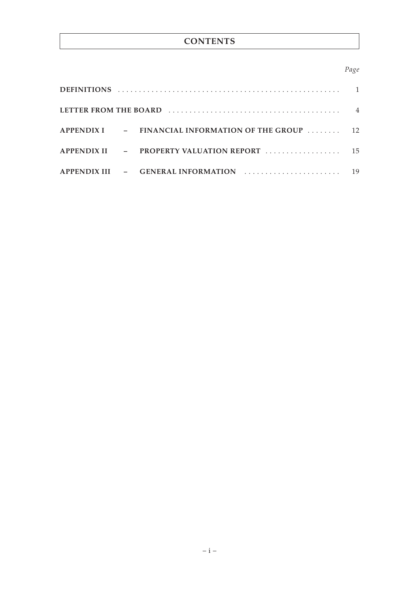# **CONTENTS**

# *Page*

|  | $APPENDIX II$ - PROPERTY VALUATION REPORT $\ldots$ | 15 <sup>1</sup> |
|--|----------------------------------------------------|-----------------|
|  | APPENDIX III - GENERAL INFORMATION                 | 19              |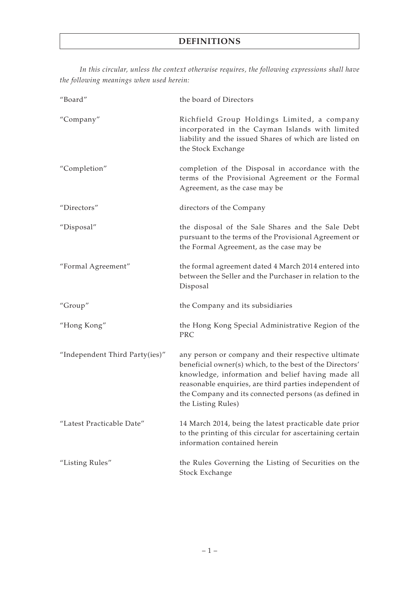*In this circular, unless the context otherwise requires, the following expressions shall have the following meanings when used herein:*

| "Board"                        | the board of Directors                                                                                                                                                                                                                                                                                       |
|--------------------------------|--------------------------------------------------------------------------------------------------------------------------------------------------------------------------------------------------------------------------------------------------------------------------------------------------------------|
| "Company"                      | Richfield Group Holdings Limited, a company<br>incorporated in the Cayman Islands with limited<br>liability and the issued Shares of which are listed on<br>the Stock Exchange                                                                                                                               |
| "Completion"                   | completion of the Disposal in accordance with the<br>terms of the Provisional Agreement or the Formal<br>Agreement, as the case may be                                                                                                                                                                       |
| "Directors"                    | directors of the Company                                                                                                                                                                                                                                                                                     |
| "Disposal"                     | the disposal of the Sale Shares and the Sale Debt<br>pursuant to the terms of the Provisional Agreement or<br>the Formal Agreement, as the case may be                                                                                                                                                       |
| "Formal Agreement"             | the formal agreement dated 4 March 2014 entered into<br>between the Seller and the Purchaser in relation to the<br>Disposal                                                                                                                                                                                  |
| "Group"                        | the Company and its subsidiaries                                                                                                                                                                                                                                                                             |
| "Hong Kong"                    | the Hong Kong Special Administrative Region of the<br>PRC                                                                                                                                                                                                                                                    |
| "Independent Third Party(ies)" | any person or company and their respective ultimate<br>beneficial owner(s) which, to the best of the Directors'<br>knowledge, information and belief having made all<br>reasonable enquiries, are third parties independent of<br>the Company and its connected persons (as defined in<br>the Listing Rules) |
| "Latest Practicable Date"      | 14 March 2014, being the latest practicable date prior<br>to the printing of this circular for ascertaining certain<br>information contained herein                                                                                                                                                          |
| "Listing Rules"                | the Rules Governing the Listing of Securities on the<br>Stock Exchange                                                                                                                                                                                                                                       |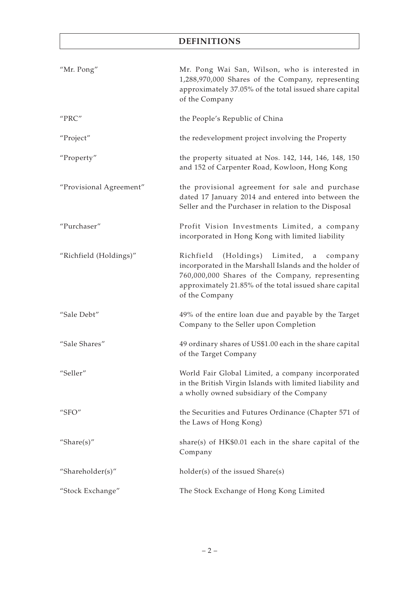# **DEFINITIONS**

| "Mr. Pong"                                 | Mr. Pong Wai San, Wilson, who is interested in<br>1,288,970,000 Shares of the Company, representing<br>approximately 37.05% of the total issued share capital<br>of the Company                                                           |
|--------------------------------------------|-------------------------------------------------------------------------------------------------------------------------------------------------------------------------------------------------------------------------------------------|
| $^{\prime\prime}\text{PRC}^{\prime\prime}$ | the People's Republic of China                                                                                                                                                                                                            |
| "Project"                                  | the redevelopment project involving the Property                                                                                                                                                                                          |
| "Property"                                 | the property situated at Nos. 142, 144, 146, 148, 150<br>and 152 of Carpenter Road, Kowloon, Hong Kong                                                                                                                                    |
| "Provisional Agreement"                    | the provisional agreement for sale and purchase<br>dated 17 January 2014 and entered into between the<br>Seller and the Purchaser in relation to the Disposal                                                                             |
| "Purchaser"                                | Profit Vision Investments Limited, a company<br>incorporated in Hong Kong with limited liability                                                                                                                                          |
| "Richfield (Holdings)"                     | (Holdings) Limited,<br>Richfield<br>company<br>a<br>incorporated in the Marshall Islands and the holder of<br>760,000,000 Shares of the Company, representing<br>approximately 21.85% of the total issued share capital<br>of the Company |
| "Sale Debt"                                | 49% of the entire loan due and payable by the Target<br>Company to the Seller upon Completion                                                                                                                                             |
| "Sale Shares"                              | 49 ordinary shares of US\$1.00 each in the share capital<br>of the Target Company                                                                                                                                                         |
| "Seller"                                   | World Fair Global Limited, a company incorporated<br>in the British Virgin Islands with limited liability and<br>a wholly owned subsidiary of the Company                                                                                 |
| "SFO"                                      | the Securities and Futures Ordinance (Chapter 571 of<br>the Laws of Hong Kong)                                                                                                                                                            |
| "Share $(s)$ "                             | share(s) of $HK$0.01$ each in the share capital of the<br>Company                                                                                                                                                                         |
| "Shareholder(s)"                           | $holder(s)$ of the issued $Share(s)$                                                                                                                                                                                                      |
| "Stock Exchange"                           | The Stock Exchange of Hong Kong Limited                                                                                                                                                                                                   |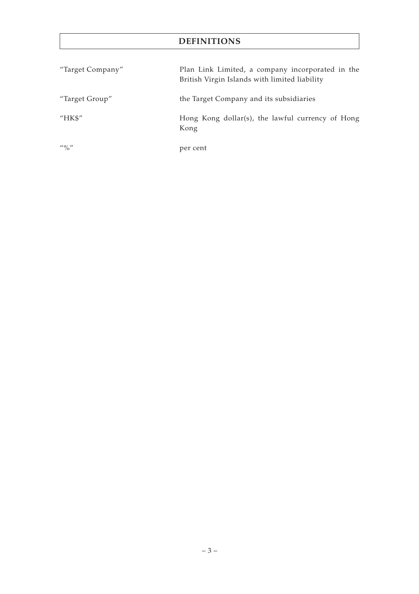# **DEFINITIONS**

| "Target Company"                      | Plan Link Limited, a company incorporated in the<br>British Virgin Islands with limited liability |
|---------------------------------------|---------------------------------------------------------------------------------------------------|
| "Target Group"                        | the Target Company and its subsidiaries                                                           |
| "HK\$"                                | Hong Kong dollar(s), the lawful currency of Hong<br>Kong                                          |
| $^{\prime\prime}$ ( $^{\prime\prime}$ | per cent                                                                                          |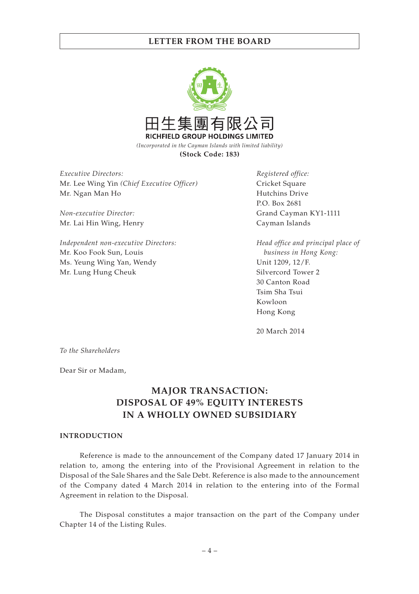

*Executive Directors:* Mr. Lee Wing Yin *(Chief Executive Officer)* Mr. Ngan Man Ho

*Non-executive Director:* Mr. Lai Hin Wing, Henry

*Independent non-executive Directors:* Mr. Koo Fook Sun, Louis Ms. Yeung Wing Yan, Wendy Mr. Lung Hung Cheuk

*Registered office:* Cricket Square Hutchins Drive P.O. Box 2681 Grand Cayman KY1-1111 Cayman Islands

*Head office and principal place of business in Hong Kong:* Unit 1209, 12/F. Silvercord Tower 2 30 Canton Road Tsim Sha Tsui Kowloon Hong Kong

20 March 2014

*To the Shareholders*

Dear Sir or Madam,

# **MAJOR TRANSACTION: DISPOSAL OF 49% EQUITY INTERESTS IN A WHOLLY OWNED SUBSIDIARY**

#### **INTRODUCTION**

Reference is made to the announcement of the Company dated 17 January 2014 in relation to, among the entering into of the Provisional Agreement in relation to the Disposal of the Sale Shares and the Sale Debt. Reference is also made to the announcement of the Company dated 4 March 2014 in relation to the entering into of the Formal Agreement in relation to the Disposal.

The Disposal constitutes a major transaction on the part of the Company under Chapter 14 of the Listing Rules.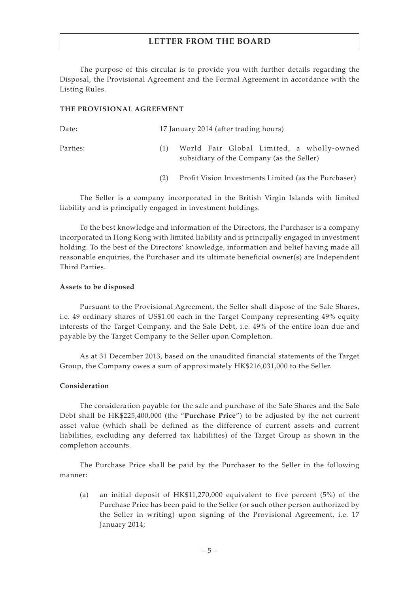The purpose of this circular is to provide you with further details regarding the Disposal, the Provisional Agreement and the Formal Agreement in accordance with the Listing Rules.

### **THE PROVISIONAL AGREEMENT**

| Date:    |     | 17 January 2014 (after trading hours)                                                  |  |  |
|----------|-----|----------------------------------------------------------------------------------------|--|--|
| Parties: |     | World Fair Global Limited, a wholly-owned<br>subsidiary of the Company (as the Seller) |  |  |
|          | (2) | Profit Vision Investments Limited (as the Purchaser)                                   |  |  |

The Seller is a company incorporated in the British Virgin Islands with limited liability and is principally engaged in investment holdings.

To the best knowledge and information of the Directors, the Purchaser is a company incorporated in Hong Kong with limited liability and is principally engaged in investment holding. To the best of the Directors' knowledge, information and belief having made all reasonable enquiries, the Purchaser and its ultimate beneficial owner(s) are Independent Third Parties.

#### **Assets to be disposed**

Pursuant to the Provisional Agreement, the Seller shall dispose of the Sale Shares, i.e. 49 ordinary shares of US\$1.00 each in the Target Company representing 49% equity interests of the Target Company, and the Sale Debt, i.e. 49% of the entire loan due and payable by the Target Company to the Seller upon Completion.

As at 31 December 2013, based on the unaudited financial statements of the Target Group, the Company owes a sum of approximately HK\$216,031,000 to the Seller.

### **Consideration**

The consideration payable for the sale and purchase of the Sale Shares and the Sale Debt shall be HK\$225,400,000 (the "**Purchase Price**") to be adjusted by the net current asset value (which shall be defined as the difference of current assets and current liabilities, excluding any deferred tax liabilities) of the Target Group as shown in the completion accounts.

The Purchase Price shall be paid by the Purchaser to the Seller in the following manner:

(a) an initial deposit of HK\$11,270,000 equivalent to five percent (5%) of the Purchase Price has been paid to the Seller (or such other person authorized by the Seller in writing) upon signing of the Provisional Agreement, i.e. 17 January 2014;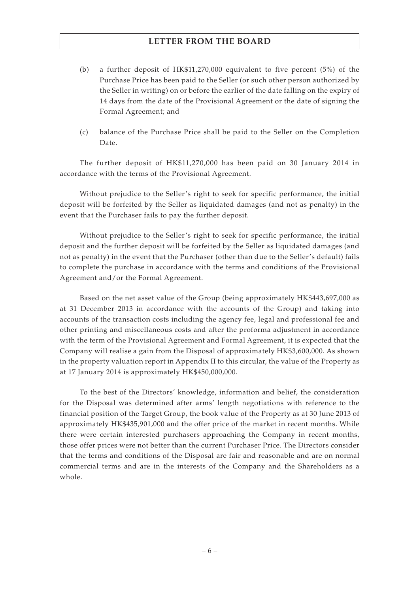- (b) a further deposit of HK\$11,270,000 equivalent to five percent (5%) of the Purchase Price has been paid to the Seller (or such other person authorized by the Seller in writing) on or before the earlier of the date falling on the expiry of 14 days from the date of the Provisional Agreement or the date of signing the Formal Agreement; and
- (c) balance of the Purchase Price shall be paid to the Seller on the Completion Date.

The further deposit of HK\$11,270,000 has been paid on 30 January 2014 in accordance with the terms of the Provisional Agreement.

Without prejudice to the Seller's right to seek for specific performance, the initial deposit will be forfeited by the Seller as liquidated damages (and not as penalty) in the event that the Purchaser fails to pay the further deposit.

Without prejudice to the Seller's right to seek for specific performance, the initial deposit and the further deposit will be forfeited by the Seller as liquidated damages (and not as penalty) in the event that the Purchaser (other than due to the Seller's default) fails to complete the purchase in accordance with the terms and conditions of the Provisional Agreement and/or the Formal Agreement.

Based on the net asset value of the Group (being approximately HK\$443,697,000 as at 31 December 2013 in accordance with the accounts of the Group) and taking into accounts of the transaction costs including the agency fee, legal and professional fee and other printing and miscellaneous costs and after the proforma adjustment in accordance with the term of the Provisional Agreement and Formal Agreement, it is expected that the Company will realise a gain from the Disposal of approximately HK\$3,600,000. As shown in the property valuation report in Appendix II to this circular, the value of the Property as at 17 January 2014 is approximately HK\$450,000,000.

To the best of the Directors' knowledge, information and belief, the consideration for the Disposal was determined after arms' length negotiations with reference to the financial position of the Target Group, the book value of the Property as at 30 June 2013 of approximately HK\$435,901,000 and the offer price of the market in recent months. While there were certain interested purchasers approaching the Company in recent months, those offer prices were not better than the current Purchaser Price. The Directors consider that the terms and conditions of the Disposal are fair and reasonable and are on normal commercial terms and are in the interests of the Company and the Shareholders as a whole.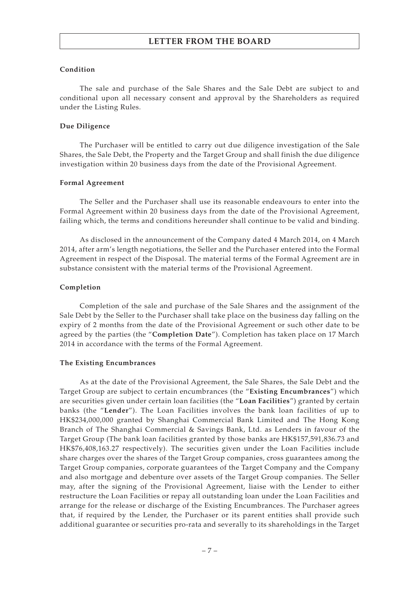### **Condition**

The sale and purchase of the Sale Shares and the Sale Debt are subject to and conditional upon all necessary consent and approval by the Shareholders as required under the Listing Rules.

#### **Due Diligence**

The Purchaser will be entitled to carry out due diligence investigation of the Sale Shares, the Sale Debt, the Property and the Target Group and shall finish the due diligence investigation within 20 business days from the date of the Provisional Agreement.

### **Formal Agreement**

The Seller and the Purchaser shall use its reasonable endeavours to enter into the Formal Agreement within 20 business days from the date of the Provisional Agreement, failing which, the terms and conditions hereunder shall continue to be valid and binding.

As disclosed in the announcement of the Company dated 4 March 2014, on 4 March 2014, after arm's length negotiations, the Seller and the Purchaser entered into the Formal Agreement in respect of the Disposal. The material terms of the Formal Agreement are in substance consistent with the material terms of the Provisional Agreement.

#### **Completion**

Completion of the sale and purchase of the Sale Shares and the assignment of the Sale Debt by the Seller to the Purchaser shall take place on the business day falling on the expiry of 2 months from the date of the Provisional Agreement or such other date to be agreed by the parties (the "**Completion Date**"). Completion has taken place on 17 March 2014 in accordance with the terms of the Formal Agreement.

### **The Existing Encumbrances**

As at the date of the Provisional Agreement, the Sale Shares, the Sale Debt and the Target Group are subject to certain encumbrances (the "**Existing Encumbrances**") which are securities given under certain loan facilities (the "**Loan Facilities**") granted by certain banks (the "**Lender**"). The Loan Facilities involves the bank loan facilities of up to HK\$234,000,000 granted by Shanghai Commercial Bank Limited and The Hong Kong Branch of The Shanghai Commercial & Savings Bank, Ltd. as Lenders in favour of the Target Group (The bank loan facilities granted by those banks are HK\$157,591,836.73 and HK\$76,408,163.27 respectively). The securities given under the Loan Facilities include share charges over the shares of the Target Group companies, cross guarantees among the Target Group companies, corporate guarantees of the Target Company and the Company and also mortgage and debenture over assets of the Target Group companies. The Seller may, after the signing of the Provisional Agreement, liaise with the Lender to either restructure the Loan Facilities or repay all outstanding loan under the Loan Facilities and arrange for the release or discharge of the Existing Encumbrances. The Purchaser agrees that, if required by the Lender, the Purchaser or its parent entities shall provide such additional guarantee or securities pro-rata and severally to its shareholdings in the Target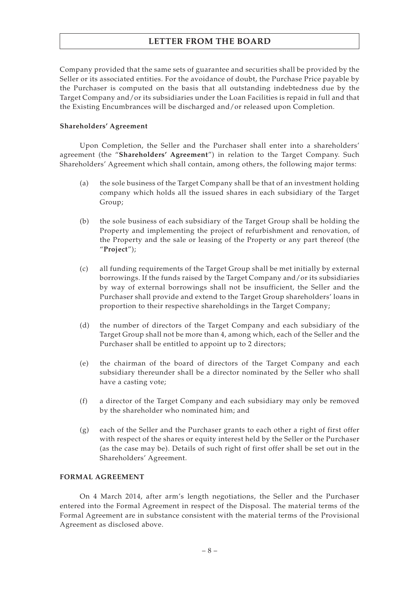Company provided that the same sets of guarantee and securities shall be provided by the Seller or its associated entities. For the avoidance of doubt, the Purchase Price payable by the Purchaser is computed on the basis that all outstanding indebtedness due by the Target Company and/or its subsidiaries under the Loan Facilities is repaid in full and that the Existing Encumbrances will be discharged and/or released upon Completion.

## **Shareholders' Agreement**

Upon Completion, the Seller and the Purchaser shall enter into a shareholders' agreement (the "**Shareholders' Agreement**") in relation to the Target Company. Such Shareholders' Agreement which shall contain, among others, the following major terms:

- (a) the sole business of the Target Company shall be that of an investment holding company which holds all the issued shares in each subsidiary of the Target Group;
- (b) the sole business of each subsidiary of the Target Group shall be holding the Property and implementing the project of refurbishment and renovation, of the Property and the sale or leasing of the Property or any part thereof (the "**Project**");
- (c) all funding requirements of the Target Group shall be met initially by external borrowings. If the funds raised by the Target Company and/or its subsidiaries by way of external borrowings shall not be insufficient, the Seller and the Purchaser shall provide and extend to the Target Group shareholders' loans in proportion to their respective shareholdings in the Target Company;
- (d) the number of directors of the Target Company and each subsidiary of the Target Group shall not be more than 4, among which, each of the Seller and the Purchaser shall be entitled to appoint up to 2 directors;
- (e) the chairman of the board of directors of the Target Company and each subsidiary thereunder shall be a director nominated by the Seller who shall have a casting vote;
- (f) a director of the Target Company and each subsidiary may only be removed by the shareholder who nominated him; and
- (g) each of the Seller and the Purchaser grants to each other a right of first offer with respect of the shares or equity interest held by the Seller or the Purchaser (as the case may be). Details of such right of first offer shall be set out in the Shareholders' Agreement.

# **FORMAL AGREEMENT**

On 4 March 2014, after arm's length negotiations, the Seller and the Purchaser entered into the Formal Agreement in respect of the Disposal. The material terms of the Formal Agreement are in substance consistent with the material terms of the Provisional Agreement as disclosed above.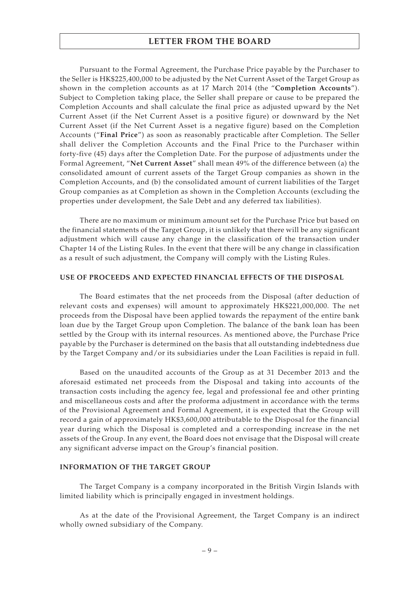Pursuant to the Formal Agreement, the Purchase Price payable by the Purchaser to the Seller is HK\$225,400,000 to be adjusted by the Net Current Asset of the Target Group as shown in the completion accounts as at 17 March 2014 (the "**Completion Accounts**"). Subject to Completion taking place, the Seller shall prepare or cause to be prepared the Completion Accounts and shall calculate the final price as adjusted upward by the Net Current Asset (if the Net Current Asset is a positive figure) or downward by the Net Current Asset (if the Net Current Asset is a negative figure) based on the Completion Accounts ("**Final Price**") as soon as reasonably practicable after Completion. The Seller shall deliver the Completion Accounts and the Final Price to the Purchaser within forty-five (45) days after the Completion Date. For the purpose of adjustments under the Formal Agreement, "**Net Current Asset**" shall mean 49% of the difference between (a) the consolidated amount of current assets of the Target Group companies as shown in the Completion Accounts, and (b) the consolidated amount of current liabilities of the Target Group companies as at Completion as shown in the Completion Accounts (excluding the properties under development, the Sale Debt and any deferred tax liabilities).

There are no maximum or minimum amount set for the Purchase Price but based on the financial statements of the Target Group, it is unlikely that there will be any significant adjustment which will cause any change in the classification of the transaction under Chapter 14 of the Listing Rules. In the event that there will be any change in classification as a result of such adjustment, the Company will comply with the Listing Rules.

### **USE OF PROCEEDS AND EXPECTED FINANCIAL EFFECTS OF THE DISPOSAL**

The Board estimates that the net proceeds from the Disposal (after deduction of relevant costs and expenses) will amount to approximately HK\$221,000,000. The net proceeds from the Disposal have been applied towards the repayment of the entire bank loan due by the Target Group upon Completion. The balance of the bank loan has been settled by the Group with its internal resources. As mentioned above, the Purchase Price payable by the Purchaser is determined on the basis that all outstanding indebtedness due by the Target Company and/or its subsidiaries under the Loan Facilities is repaid in full.

Based on the unaudited accounts of the Group as at 31 December 2013 and the aforesaid estimated net proceeds from the Disposal and taking into accounts of the transaction costs including the agency fee, legal and professional fee and other printing and miscellaneous costs and after the proforma adjustment in accordance with the terms of the Provisional Agreement and Formal Agreement, it is expected that the Group will record a gain of approximately HK\$3,600,000 attributable to the Disposal for the financial year during which the Disposal is completed and a corresponding increase in the net assets of the Group. In any event, the Board does not envisage that the Disposal will create any significant adverse impact on the Group's financial position.

## **INFORMATION OF THE TARGET GROUP**

The Target Company is a company incorporated in the British Virgin Islands with limited liability which is principally engaged in investment holdings.

As at the date of the Provisional Agreement, the Target Company is an indirect wholly owned subsidiary of the Company.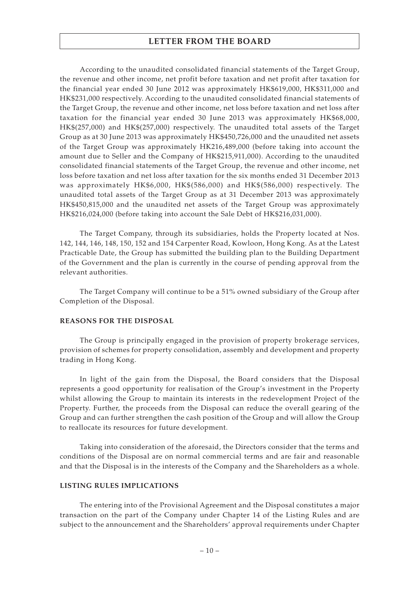According to the unaudited consolidated financial statements of the Target Group, the revenue and other income, net profit before taxation and net profit after taxation for the financial year ended 30 June 2012 was approximately HK\$619,000, HK\$311,000 and HK\$231,000 respectively. According to the unaudited consolidated financial statements of the Target Group, the revenue and other income, net loss before taxation and net loss after taxation for the financial year ended 30 June 2013 was approximately HK\$68,000, HK\$(257,000) and HK\$(257,000) respectively. The unaudited total assets of the Target Group as at 30 June 2013 was approximately HK\$450,726,000 and the unaudited net assets of the Target Group was approximately HK216,489,000 (before taking into account the amount due to Seller and the Company of HK\$215,911,000). According to the unaudited consolidated financial statements of the Target Group, the revenue and other income, net loss before taxation and net loss after taxation for the six months ended 31 December 2013 was approximately HK\$6,000, HK\$(586,000) and HK\$(586,000) respectively. The unaudited total assets of the Target Group as at 31 December 2013 was approximately HK\$450,815,000 and the unaudited net assets of the Target Group was approximately HK\$216,024,000 (before taking into account the Sale Debt of HK\$216,031,000).

The Target Company, through its subsidiaries, holds the Property located at Nos. 142, 144, 146, 148, 150, 152 and 154 Carpenter Road, Kowloon, Hong Kong. As at the Latest Practicable Date, the Group has submitted the building plan to the Building Department of the Government and the plan is currently in the course of pending approval from the relevant authorities.

The Target Company will continue to be a 51% owned subsidiary of the Group after Completion of the Disposal.

#### **REASONS FOR THE DISPOSAL**

The Group is principally engaged in the provision of property brokerage services, provision of schemes for property consolidation, assembly and development and property trading in Hong Kong.

In light of the gain from the Disposal, the Board considers that the Disposal represents a good opportunity for realisation of the Group's investment in the Property whilst allowing the Group to maintain its interests in the redevelopment Project of the Property. Further, the proceeds from the Disposal can reduce the overall gearing of the Group and can further strengthen the cash position of the Group and will allow the Group to reallocate its resources for future development.

Taking into consideration of the aforesaid, the Directors consider that the terms and conditions of the Disposal are on normal commercial terms and are fair and reasonable and that the Disposal is in the interests of the Company and the Shareholders as a whole.

# **LISTING RULES IMPLICATIONS**

The entering into of the Provisional Agreement and the Disposal constitutes a major transaction on the part of the Company under Chapter 14 of the Listing Rules and are subject to the announcement and the Shareholders' approval requirements under Chapter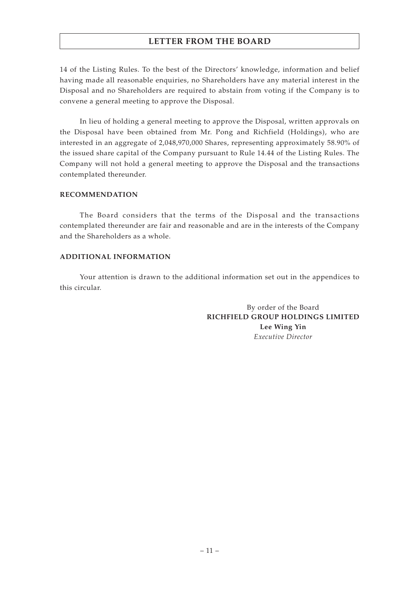14 of the Listing Rules. To the best of the Directors' knowledge, information and belief having made all reasonable enquiries, no Shareholders have any material interest in the Disposal and no Shareholders are required to abstain from voting if the Company is to convene a general meeting to approve the Disposal.

In lieu of holding a general meeting to approve the Disposal, written approvals on the Disposal have been obtained from Mr. Pong and Richfield (Holdings), who are interested in an aggregate of 2,048,970,000 Shares, representing approximately 58.90% of the issued share capital of the Company pursuant to Rule 14.44 of the Listing Rules. The Company will not hold a general meeting to approve the Disposal and the transactions contemplated thereunder.

## **RECOMMENDATION**

The Board considers that the terms of the Disposal and the transactions contemplated thereunder are fair and reasonable and are in the interests of the Company and the Shareholders as a whole.

## **ADDITIONAL INFORMATION**

Your attention is drawn to the additional information set out in the appendices to this circular.

> By order of the Board **RICHFIELD GROUP HOLDINGS LIMITED Lee Wing Yin** *Executive Director*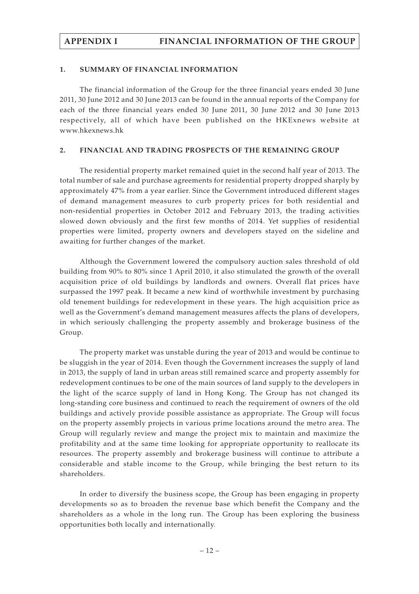# **APPENDIX I FINANCIAL INFORMATION OF THE GROUP**

#### **1. SUMMARY OF FINANCIAL INFORMATION**

The financial information of the Group for the three financial years ended 30 June 2011, 30 June 2012 and 30 June 2013 can be found in the annual reports of the Company for each of the three financial years ended 30 June 2011, 30 June 2012 and 30 June 2013 respectively, all of which have been published on the HKExnews website at www.hkexnews.hk

### **2. FINANCIAL AND TRADING PROSPECTS OF THE REMAINING GROUP**

The residential property market remained quiet in the second half year of 2013. The total number of sale and purchase agreements for residential property dropped sharply by approximately 47% from a year earlier. Since the Government introduced different stages of demand management measures to curb property prices for both residential and non-residential properties in October 2012 and February 2013, the trading activities slowed down obviously and the first few months of 2014. Yet supplies of residential properties were limited, property owners and developers stayed on the sideline and awaiting for further changes of the market.

Although the Government lowered the compulsory auction sales threshold of old building from 90% to 80% since 1 April 2010, it also stimulated the growth of the overall acquisition price of old buildings by landlords and owners. Overall flat prices have surpassed the 1997 peak. It became a new kind of worthwhile investment by purchasing old tenement buildings for redevelopment in these years. The high acquisition price as well as the Government's demand management measures affects the plans of developers, in which seriously challenging the property assembly and brokerage business of the Group.

The property market was unstable during the year of 2013 and would be continue to be sluggish in the year of 2014. Even though the Government increases the supply of land in 2013, the supply of land in urban areas still remained scarce and property assembly for redevelopment continues to be one of the main sources of land supply to the developers in the light of the scarce supply of land in Hong Kong. The Group has not changed its long-standing core business and continued to reach the requirement of owners of the old buildings and actively provide possible assistance as appropriate. The Group will focus on the property assembly projects in various prime locations around the metro area. The Group will regularly review and mange the project mix to maintain and maximize the profitability and at the same time looking for appropriate opportunity to reallocate its resources. The property assembly and brokerage business will continue to attribute a considerable and stable income to the Group, while bringing the best return to its shareholders.

In order to diversify the business scope, the Group has been engaging in property developments so as to broaden the revenue base which benefit the Company and the shareholders as a whole in the long run. The Group has been exploring the business opportunities both locally and internationally.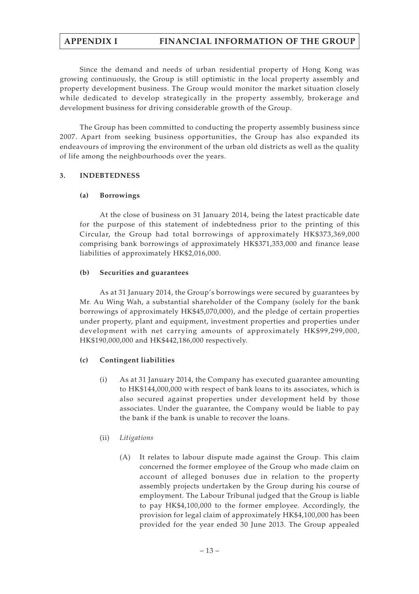# **APPENDIX I FINANCIAL INFORMATION OF THE GROUP**

Since the demand and needs of urban residential property of Hong Kong was growing continuously, the Group is still optimistic in the local property assembly and property development business. The Group would monitor the market situation closely while dedicated to develop strategically in the property assembly, brokerage and development business for driving considerable growth of the Group.

The Group has been committed to conducting the property assembly business since 2007. Apart from seeking business opportunities, the Group has also expanded its endeavours of improving the environment of the urban old districts as well as the quality of life among the neighbourhoods over the years.

# **3. INDEBTEDNESS**

# **(a) Borrowings**

At the close of business on 31 January 2014, being the latest practicable date for the purpose of this statement of indebtedness prior to the printing of this Circular, the Group had total borrowings of approximately HK\$373,369,000 comprising bank borrowings of approximately HK\$371,353,000 and finance lease liabilities of approximately HK\$2,016,000.

# **(b) Securities and guarantees**

As at 31 January 2014, the Group's borrowings were secured by guarantees by Mr. Au Wing Wah, a substantial shareholder of the Company (solely for the bank borrowings of approximately HK\$45,070,000), and the pledge of certain properties under property, plant and equipment, investment properties and properties under development with net carrying amounts of approximately HK\$99,299,000, HK\$190,000,000 and HK\$442,186,000 respectively.

# **(c) Contingent liabilities**

- (i) As at 31 January 2014, the Company has executed guarantee amounting to HK\$144,000,000 with respect of bank loans to its associates, which is also secured against properties under development held by those associates. Under the guarantee, the Company would be liable to pay the bank if the bank is unable to recover the loans.
- (ii) *Litigations*
	- (A) It relates to labour dispute made against the Group. This claim concerned the former employee of the Group who made claim on account of alleged bonuses due in relation to the property assembly projects undertaken by the Group during his course of employment. The Labour Tribunal judged that the Group is liable to pay HK\$4,100,000 to the former employee. Accordingly, the provision for legal claim of approximately HK\$4,100,000 has been provided for the year ended 30 June 2013. The Group appealed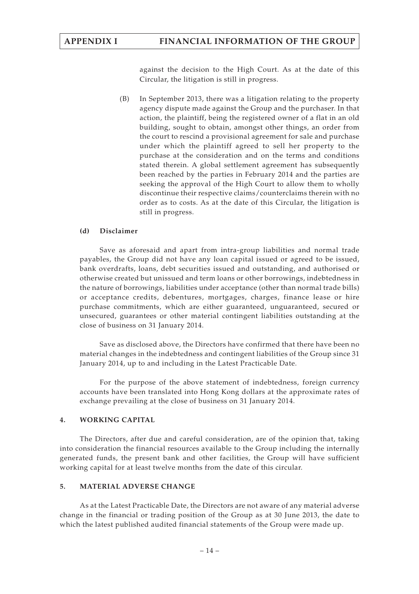against the decision to the High Court. As at the date of this Circular, the litigation is still in progress.

(B) In September 2013, there was a litigation relating to the property agency dispute made against the Group and the purchaser. In that action, the plaintiff, being the registered owner of a flat in an old building, sought to obtain, amongst other things, an order from the court to rescind a provisional agreement for sale and purchase under which the plaintiff agreed to sell her property to the purchase at the consideration and on the terms and conditions stated therein. A global settlement agreement has subsequently been reached by the parties in February 2014 and the parties are seeking the approval of the High Court to allow them to wholly discontinue their respective claims/counterclaims therein with no order as to costs. As at the date of this Circular, the litigation is still in progress.

## **(d) Disclaimer**

Save as aforesaid and apart from intra-group liabilities and normal trade payables, the Group did not have any loan capital issued or agreed to be issued, bank overdrafts, loans, debt securities issued and outstanding, and authorised or otherwise created but unissued and term loans or other borrowings, indebtedness in the nature of borrowings, liabilities under acceptance (other than normal trade bills) or acceptance credits, debentures, mortgages, charges, finance lease or hire purchase commitments, which are either guaranteed, unguaranteed, secured or unsecured, guarantees or other material contingent liabilities outstanding at the close of business on 31 January 2014.

Save as disclosed above, the Directors have confirmed that there have been no material changes in the indebtedness and contingent liabilities of the Group since 31 January 2014, up to and including in the Latest Practicable Date.

For the purpose of the above statement of indebtedness, foreign currency accounts have been translated into Hong Kong dollars at the approximate rates of exchange prevailing at the close of business on 31 January 2014.

# **4. WORKING CAPITAL**

The Directors, after due and careful consideration, are of the opinion that, taking into consideration the financial resources available to the Group including the internally generated funds, the present bank and other facilities, the Group will have sufficient working capital for at least twelve months from the date of this circular.

# **5. MATERIAL ADVERSE CHANGE**

As at the Latest Practicable Date, the Directors are not aware of any material adverse change in the financial or trading position of the Group as at 30 June 2013, the date to which the latest published audited financial statements of the Group were made up.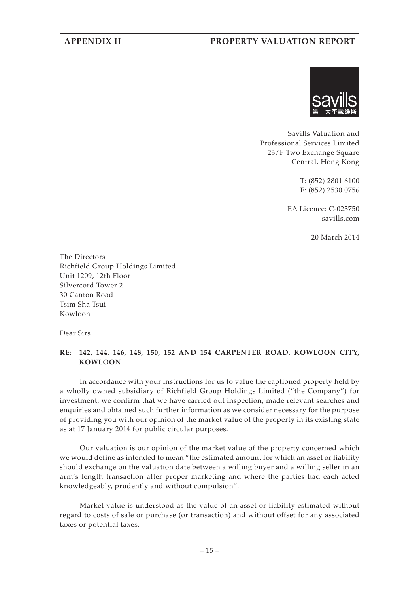# **APPENDIX II PROPERTY VALUATION REPORT**



Savills Valuation and Professional Services Limited 23/F Two Exchange Square Central, Hong Kong

> T: (852) 2801 6100 F: (852) 2530 0756

EA Licence: C-023750 savills.com

20 March 2014

The Directors Richfield Group Holdings Limited Unit 1209, 12th Floor Silvercord Tower 2 30 Canton Road Tsim Sha Tsui Kowloon

Dear Sirs

# **RE: 142, 144, 146, 148, 150, 152 AND 154 CARPENTER ROAD, KOWLOON CITY, KOWLOON**

In accordance with your instructions for us to value the captioned property held by a wholly owned subsidiary of Richfield Group Holdings Limited ("the Company") for investment, we confirm that we have carried out inspection, made relevant searches and enquiries and obtained such further information as we consider necessary for the purpose of providing you with our opinion of the market value of the property in its existing state as at 17 January 2014 for public circular purposes.

Our valuation is our opinion of the market value of the property concerned which we would define as intended to mean "the estimated amount for which an asset or liability should exchange on the valuation date between a willing buyer and a willing seller in an arm's length transaction after proper marketing and where the parties had each acted knowledgeably, prudently and without compulsion".

Market value is understood as the value of an asset or liability estimated without regard to costs of sale or purchase (or transaction) and without offset for any associated taxes or potential taxes.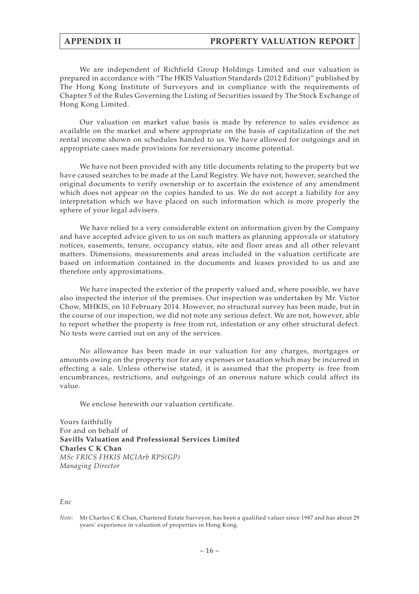We are independent of Richfield Group Holdings Limited and our valuation is prepared in accordance with "The HKIS Valuation Standards (2012 Edition)" published by The Hong Kong Institute of Surveyors and in compliance with the requirements of Chapter 5 of the Rules Governing the Listing of Securities issued by The Stock Exchange of Hong Kong Limited.

Our valuation on market value basis is made by reference to sales evidence as available on the market and where appropriate on the basis of capitalization of the net rental income shown on schedules handed to us. We have allowed for outgoings and in appropriate cases made provisions for reversionary income potential.

We have not been provided with any title documents relating to the property but we have caused searches to be made at the Land Registry. We have not, however, searched the original documents to verify ownership or to ascertain the existence of any amendment which does not appear on the copies handed to us. We do not accept a liability for any interpretation which we have placed on such information which is more properly the sphere of your legal advisers.

We have relied to a very considerable extent on information given by the Company and have accepted advice given to us on such matters as planning approvals or statutory notices, easements, tenure, occupancy status, site and floor areas and all other relevant matters. Dimensions, measurements and areas included in the valuation certificate are based on information contained in the documents and leases provided to us and are therefore only approximations.

We have inspected the exterior of the property valued and, where possible, we have also inspected the interior of the premises. Our inspection was undertaken by Mr. Victor Chow, MHKIS, on 10 February 2014. However, no structural survey has been made, but in the course of our inspection, we did not note any serious defect. We are not, however, able to report whether the property is free from rot, infestation or any other structural defect. No tests were carried out on any of the services.

No allowance has been made in our valuation for any charges, mortgages or amounts owing on the property nor for any expenses or taxation which may be incurred in effecting a sale. Unless otherwise stated, it is assumed that the property is free from encumbrances, restrictions, and outgoings of an onerous nature which could affect its value.

We enclose herewith our valuation certificate.

Yours faithfully For and on behalf of **Savills Valuation and Professional Services Limited Charles C K Chan** *MSc FRICS FHKIS MCIArb RPS(GP) Managing Director*

#### *Enc*

*Note:* Mr Charles C K Chan, Chartered Estate Surveyor, has been a qualified valuer since 1987 and has about 29 years' experience in valuation of properties in Hong Kong.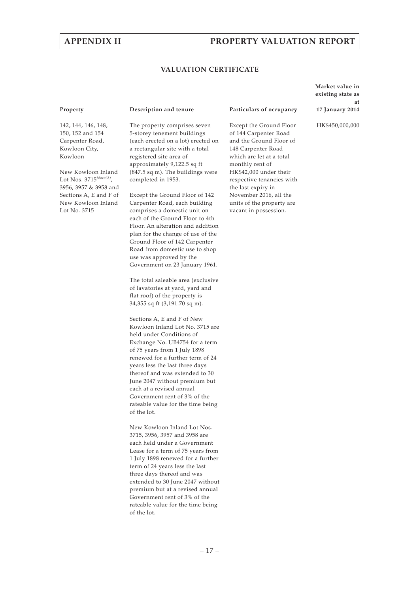# **APPENDIX II PROPERTY VALUATION REPORT**

#### **VALUATION CERTIFICATE**

142, 144, 146, 148, 150, 152 and 154 Carpenter Road, Kowloon City, Kowloon

New Kowloon Inland Lot Nos. 3715*Note(2)*, 3956, 3957 & 3958 and Sections A, E and F of New Kowloon Inland Lot No. 3715

#### **Property Description and tenure Particulars of occupancy**

The property comprises seven 5-storey tenement buildings (each erected on a lot) erected on a rectangular site with a total registered site area of approximately 9,122.5 sq ft (847.5 sq m). The buildings were completed in 1953.

Except the Ground Floor of 142 Carpenter Road, each building comprises a domestic unit on each of the Ground Floor to 4th Floor. An alteration and addition plan for the change of use of the Ground Floor of 142 Carpenter Road from domestic use to shop use was approved by the Government on 23 January 1961.

The total saleable area (exclusive of lavatories at yard, yard and flat roof) of the property is 34,355 sq ft (3,191.70 sq m).

Sections A, E and F of New Kowloon Inland Lot No. 3715 are held under Conditions of Exchange No. UB4754 for a term of 75 years from 1 July 1898 renewed for a further term of 24 years less the last three days thereof and was extended to 30 June 2047 without premium but each at a revised annual Government rent of 3% of the rateable value for the time being of the lot.

New Kowloon Inland Lot Nos. 3715, 3956, 3957 and 3958 are each held under a Government Lease for a term of 75 years from 1 July 1898 renewed for a further term of 24 years less the last three days thereof and was extended to 30 June 2047 without premium but at a revised annual Government rent of 3% of the rateable value for the time being of the lot.

Except the Ground Floor of 144 Carpenter Road and the Ground Floor of 148 Carpenter Road which are let at a total monthly rent of HK\$42,000 under their respective tenancies with the last expiry in November 2016, all the units of the property are vacant in possession.

**Market value in existing state as at 17 January 2014**

HK\$450,000,000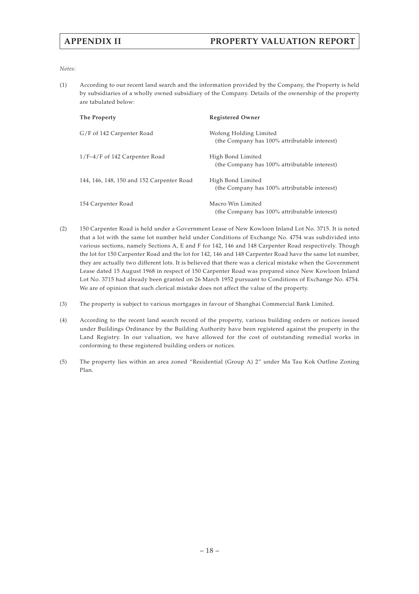#### *Notes:*

(1) According to our recent land search and the information provided by the Company, the Property is held by subsidiaries of a wholly owned subsidiary of the Company. Details of the ownership of the property are tabulated below:

| The Property                              | <b>Registered Owner</b>                                                |
|-------------------------------------------|------------------------------------------------------------------------|
| G/F of 142 Carpenter Road                 | Wofeng Holding Limited<br>(the Company has 100% attributable interest) |
| $1/F-4/F$ of 142 Carpenter Road           | High Bond Limited<br>(the Company has 100% attributable interest)      |
| 144, 146, 148, 150 and 152 Carpenter Road | High Bond Limited<br>(the Company has 100% attributable interest)      |
| 154 Carpenter Road                        | Macro Win Limited<br>(the Company has 100% attributable interest)      |

- (2) 150 Carpenter Road is held under a Government Lease of New Kowloon Inland Lot No. 3715. It is noted that a lot with the same lot number held under Conditions of Exchange No. 4754 was subdivided into various sections, namely Sections A, E and F for 142, 146 and 148 Carpenter Road respectively. Though the lot for 150 Carpenter Road and the lot for 142, 146 and 148 Carpenter Road have the same lot number, they are actually two different lots. It is believed that there was a clerical mistake when the Government Lease dated 15 August 1968 in respect of 150 Carpenter Road was prepared since New Kowloon Inland Lot No. 3715 had already been granted on 26 March 1952 pursuant to Conditions of Exchange No. 4754. We are of opinion that such clerical mistake does not affect the value of the property.
- (3) The property is subject to various mortgages in favour of Shanghai Commercial Bank Limited.
- (4) According to the recent land search record of the property, various building orders or notices issued under Buildings Ordinance by the Building Authority have been registered against the property in the Land Registry. In our valuation, we have allowed for the cost of outstanding remedial works in conforming to these registered building orders or notices.
- (5) The property lies within an area zoned "Residential (Group A) 2" under Ma Tau Kok Outline Zoning Plan.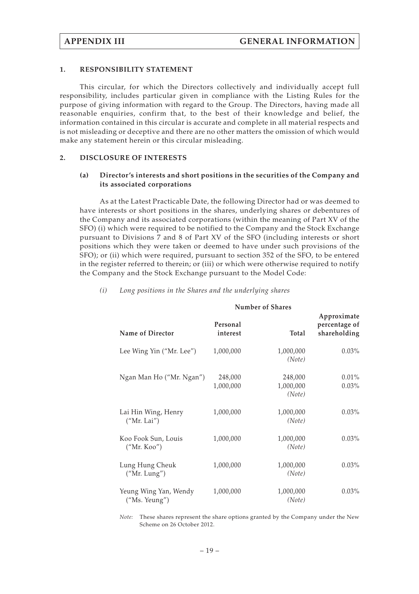#### **1. RESPONSIBILITY STATEMENT**

This circular, for which the Directors collectively and individually accept full responsibility, includes particular given in compliance with the Listing Rules for the purpose of giving information with regard to the Group. The Directors, having made all reasonable enquiries, confirm that, to the best of their knowledge and belief, the information contained in this circular is accurate and complete in all material respects and is not misleading or deceptive and there are no other matters the omission of which would make any statement herein or this circular misleading.

### **2. DISCLOSURE OF INTERESTS**

### **(a) Director's interests and short positions in the securities of the Company and its associated corporations**

As at the Latest Practicable Date, the following Director had or was deemed to have interests or short positions in the shares, underlying shares or debentures of the Company and its associated corporations (within the meaning of Part XV of the SFO) (i) which were required to be notified to the Company and the Stock Exchange pursuant to Divisions 7 and 8 of Part XV of the SFO (including interests or short positions which they were taken or deemed to have under such provisions of the SFO); or (ii) which were required, pursuant to section 352 of the SFO, to be entered in the register referred to therein; or (iii) or which were otherwise required to notify the Company and the Stock Exchange pursuant to the Model Code:

|                                        | <b>Number of Shares</b> |                                |                                              |
|----------------------------------------|-------------------------|--------------------------------|----------------------------------------------|
| Name of Director                       | Personal<br>interest    | Total                          | Approximate<br>percentage of<br>shareholding |
| Lee Wing Yin ("Mr. Lee")               | 1,000,000               | 1,000,000<br>(Note)            | $0.03\%$                                     |
| Ngan Man Ho ("Mr. Ngan")               | 248,000<br>1,000,000    | 248,000<br>1,000,000<br>(Note) | 0.01%<br>$0.03\%$                            |
| Lai Hin Wing, Henry<br>("Mr. Lai")     | 1,000,000               | 1,000,000<br>(Note)            | $0.03\%$                                     |
| Koo Fook Sun, Louis<br>("Mr. Koo")     | 1,000,000               | 1,000,000<br>(Note)            | $0.03\%$                                     |
| Lung Hung Cheuk<br>("Mr. Lung")        | 1,000,000               | 1,000,000<br>(Note)            | $0.03\%$                                     |
| Yeung Wing Yan, Wendy<br>("Ms. Yeung") | 1,000,000               | 1,000,000<br>(Note)            | $0.03\%$                                     |

## *(i) Long positions in the Shares and the underlying shares*

*Note:* These shares represent the share options granted by the Company under the New Scheme on 26 October 2012.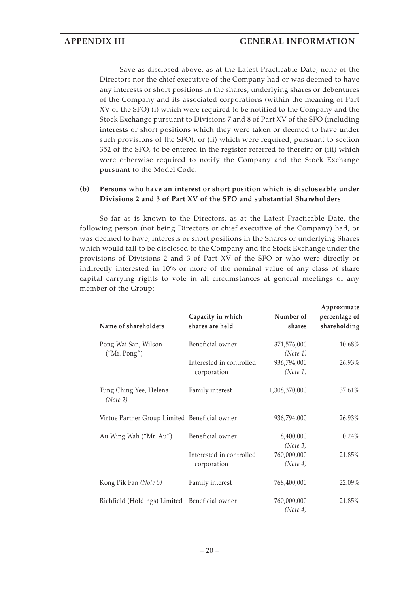Save as disclosed above, as at the Latest Practicable Date, none of the Directors nor the chief executive of the Company had or was deemed to have any interests or short positions in the shares, underlying shares or debentures of the Company and its associated corporations (within the meaning of Part XV of the SFO) (i) which were required to be notified to the Company and the Stock Exchange pursuant to Divisions 7 and 8 of Part XV of the SFO (including interests or short positions which they were taken or deemed to have under such provisions of the SFO); or (ii) which were required, pursuant to section 352 of the SFO, to be entered in the register referred to therein; or (iii) which were otherwise required to notify the Company and the Stock Exchange pursuant to the Model Code.

# **(b) Persons who have an interest or short position which is discloseable under Divisions 2 and 3 of Part XV of the SFO and substantial Shareholders**

So far as is known to the Directors, as at the Latest Practicable Date, the following person (not being Directors or chief executive of the Company) had, or was deemed to have, interests or short positions in the Shares or underlying Shares which would fall to be disclosed to the Company and the Stock Exchange under the provisions of Divisions 2 and 3 of Part XV of the SFO or who were directly or indirectly interested in 10% or more of the nominal value of any class of share capital carrying rights to vote in all circumstances at general meetings of any member of the Group:

| Name of shareholders                          | Capacity in which<br>shares are held    | Number of<br>shares     | Approximate<br>percentage of<br>shareholding |
|-----------------------------------------------|-----------------------------------------|-------------------------|----------------------------------------------|
| Pong Wai San, Wilson<br>("Mr. Pong")          | Beneficial owner                        | 371,576,000<br>(Note 1) | 10.68%                                       |
|                                               | Interested in controlled<br>corporation | 936,794,000<br>(Note 1) | 26.93%                                       |
| Tung Ching Yee, Helena<br>(Note 2)            | Family interest                         | 1,308,370,000           | 37.61%                                       |
| Virtue Partner Group Limited Beneficial owner |                                         | 936,794,000             | 26.93%                                       |
| Au Wing Wah ("Mr. Au")                        | Beneficial owner                        | 8,400,000<br>(Note 3)   | $0.24\%$                                     |
|                                               | Interested in controlled<br>corporation | 760,000,000<br>(Note 4) | 21.85%                                       |
| Kong Pik Fan (Note 5)                         | Family interest                         | 768,400,000             | 22.09%                                       |
| Richfield (Holdings) Limited Beneficial owner |                                         | 760,000,000<br>(Note 4) | 21.85%                                       |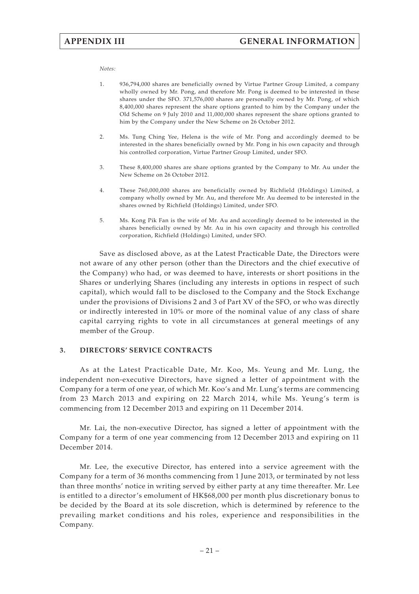#### *Notes:*

- 1. 936,794,000 shares are beneficially owned by Virtue Partner Group Limited, a company wholly owned by Mr. Pong, and therefore Mr. Pong is deemed to be interested in these shares under the SFO. 371,576,000 shares are personally owned by Mr. Pong, of which 8,400,000 shares represent the share options granted to him by the Company under the Old Scheme on 9 July 2010 and 11,000,000 shares represent the share options granted to him by the Company under the New Scheme on 26 October 2012.
- 2. Ms. Tung Ching Yee, Helena is the wife of Mr. Pong and accordingly deemed to be interested in the shares beneficially owned by Mr. Pong in his own capacity and through his controlled corporation, Virtue Partner Group Limited, under SFO.
- 3. These 8,400,000 shares are share options granted by the Company to Mr. Au under the New Scheme on 26 October 2012.
- 4. These 760,000,000 shares are beneficially owned by Richfield (Holdings) Limited, a company wholly owned by Mr. Au, and therefore Mr. Au deemed to be interested in the shares owned by Richfield (Holdings) Limited, under SFO.
- 5. Ms. Kong Pik Fan is the wife of Mr. Au and accordingly deemed to be interested in the shares beneficially owned by Mr. Au in his own capacity and through his controlled corporation, Richfield (Holdings) Limited, under SFO.

Save as disclosed above, as at the Latest Practicable Date, the Directors were not aware of any other person (other than the Directors and the chief executive of the Company) who had, or was deemed to have, interests or short positions in the Shares or underlying Shares (including any interests in options in respect of such capital), which would fall to be disclosed to the Company and the Stock Exchange under the provisions of Divisions 2 and 3 of Part XV of the SFO, or who was directly or indirectly interested in 10% or more of the nominal value of any class of share capital carrying rights to vote in all circumstances at general meetings of any member of the Group.

#### **3. DIRECTORS' SERVICE CONTRACTS**

As at the Latest Practicable Date, Mr. Koo, Ms. Yeung and Mr. Lung, the independent non-executive Directors, have signed a letter of appointment with the Company for a term of one year, of which Mr. Koo's and Mr. Lung's terms are commencing from 23 March 2013 and expiring on 22 March 2014, while Ms. Yeung's term is commencing from 12 December 2013 and expiring on 11 December 2014.

Mr. Lai, the non-executive Director, has signed a letter of appointment with the Company for a term of one year commencing from 12 December 2013 and expiring on 11 December 2014.

Mr. Lee, the executive Director, has entered into a service agreement with the Company for a term of 36 months commencing from 1 June 2013, or terminated by not less than three months' notice in writing served by either party at any time thereafter. Mr. Lee is entitled to a director's emolument of HK\$68,000 per month plus discretionary bonus to be decided by the Board at its sole discretion, which is determined by reference to the prevailing market conditions and his roles, experience and responsibilities in the Company.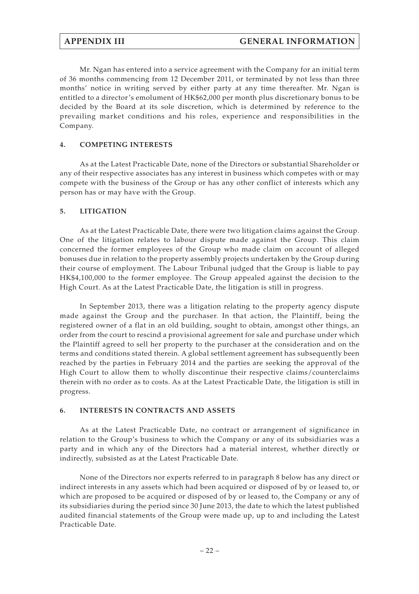Mr. Ngan has entered into a service agreement with the Company for an initial term of 36 months commencing from 12 December 2011, or terminated by not less than three months' notice in writing served by either party at any time thereafter. Mr. Ngan is entitled to a director's emolument of HK\$62,000 per month plus discretionary bonus to be decided by the Board at its sole discretion, which is determined by reference to the prevailing market conditions and his roles, experience and responsibilities in the Company.

## **4. COMPETING INTERESTS**

As at the Latest Practicable Date, none of the Directors or substantial Shareholder or any of their respective associates has any interest in business which competes with or may compete with the business of the Group or has any other conflict of interests which any person has or may have with the Group.

## **5. LITIGATION**

As at the Latest Practicable Date, there were two litigation claims against the Group. One of the litigation relates to labour dispute made against the Group. This claim concerned the former employees of the Group who made claim on account of alleged bonuses due in relation to the property assembly projects undertaken by the Group during their course of employment. The Labour Tribunal judged that the Group is liable to pay HK\$4,100,000 to the former employee. The Group appealed against the decision to the High Court. As at the Latest Practicable Date, the litigation is still in progress.

In September 2013, there was a litigation relating to the property agency dispute made against the Group and the purchaser. In that action, the Plaintiff, being the registered owner of a flat in an old building, sought to obtain, amongst other things, an order from the court to rescind a provisional agreement for sale and purchase under which the Plaintiff agreed to sell her property to the purchaser at the consideration and on the terms and conditions stated therein. A global settlement agreement has subsequently been reached by the parties in February 2014 and the parties are seeking the approval of the High Court to allow them to wholly discontinue their respective claims/counterclaims therein with no order as to costs. As at the Latest Practicable Date, the litigation is still in progress.

### **6. INTERESTS IN CONTRACTS AND ASSETS**

As at the Latest Practicable Date, no contract or arrangement of significance in relation to the Group's business to which the Company or any of its subsidiaries was a party and in which any of the Directors had a material interest, whether directly or indirectly, subsisted as at the Latest Practicable Date.

None of the Directors nor experts referred to in paragraph 8 below has any direct or indirect interests in any assets which had been acquired or disposed of by or leased to, or which are proposed to be acquired or disposed of by or leased to, the Company or any of its subsidiaries during the period since 30 June 2013, the date to which the latest published audited financial statements of the Group were made up, up to and including the Latest Practicable Date.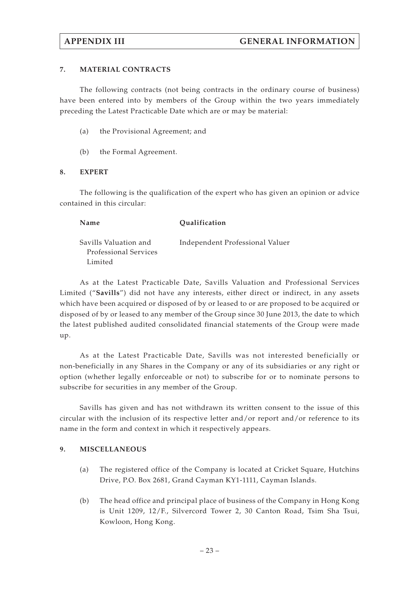## **7. MATERIAL CONTRACTS**

The following contracts (not being contracts in the ordinary course of business) have been entered into by members of the Group within the two years immediately preceding the Latest Practicable Date which are or may be material:

- (a) the Provisional Agreement; and
- (b) the Formal Agreement.

### **8. EXPERT**

The following is the qualification of the expert who has given an opinion or advice contained in this circular:

**Name Qualification** Savills Valuation and Professional Services Limited Independent Professional Valuer

As at the Latest Practicable Date, Savills Valuation and Professional Services Limited ("**Savills**") did not have any interests, either direct or indirect, in any assets which have been acquired or disposed of by or leased to or are proposed to be acquired or disposed of by or leased to any member of the Group since 30 June 2013, the date to which the latest published audited consolidated financial statements of the Group were made up.

As at the Latest Practicable Date, Savills was not interested beneficially or non-beneficially in any Shares in the Company or any of its subsidiaries or any right or option (whether legally enforceable or not) to subscribe for or to nominate persons to subscribe for securities in any member of the Group.

Savills has given and has not withdrawn its written consent to the issue of this circular with the inclusion of its respective letter and/or report and/or reference to its name in the form and context in which it respectively appears.

### **9. MISCELLANEOUS**

- (a) The registered office of the Company is located at Cricket Square, Hutchins Drive, P.O. Box 2681, Grand Cayman KY1-1111, Cayman Islands.
- (b) The head office and principal place of business of the Company in Hong Kong is Unit 1209, 12/F., Silvercord Tower 2, 30 Canton Road, Tsim Sha Tsui, Kowloon, Hong Kong.